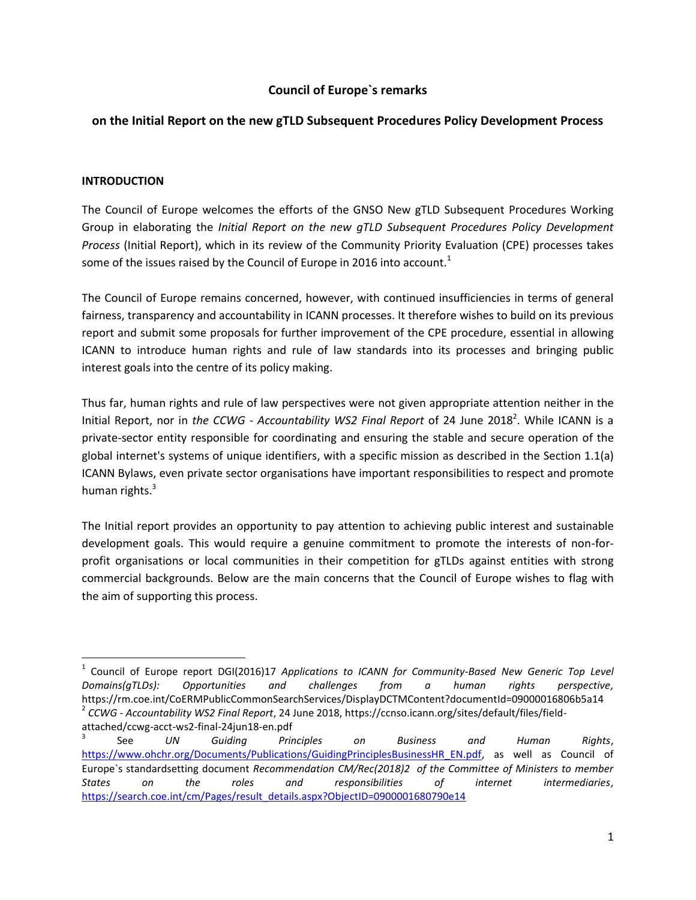## **Council of Europe`s remarks**

## **on the Initial Report on the new gTLD Subsequent Procedures Policy Development Process**

### **INTRODUCTION**

 $\overline{a}$ 

The Council of Europe welcomes the efforts of the GNSO New gTLD Subsequent Procedures Working Group in elaborating the *Initial Report on the new gTLD Subsequent Procedures Policy Development Process* (Initial Report), which in its review of the Community Priority Evaluation (CPE) processes takes some of the issues raised by the Council of Europe in 2016 into account.<sup>1</sup>

The Council of Europe remains concerned, however, with continued insufficiencies in terms of general fairness, transparency and accountability in ICANN processes. It therefore wishes to build on its previous report and submit some proposals for further improvement of the CPE procedure, essential in allowing ICANN to introduce human rights and rule of law standards into its processes and bringing public interest goals into the centre of its policy making.

Thus far, human rights and rule of law perspectives were not given appropriate attention neither in the Initial Report, nor in *the CCWG - Accountability WS2 Final Report* of 24 June 2018<sup>2</sup>. While ICANN is a private-sector entity responsible for coordinating and ensuring the stable and secure operation of the global internet's systems of unique identifiers, with a specific mission as described in the Section 1.1(a) ICANN Bylaws, even private sector organisations have important responsibilities to respect and promote human rights.<sup>3</sup>

The Initial report provides an opportunity to pay attention to achieving public interest and sustainable development goals. This would require a genuine commitment to promote the interests of non-forprofit organisations or local communities in their competition for gTLDs against entities with strong commercial backgrounds. Below are the main concerns that the Council of Europe wishes to flag with the aim of supporting this process.

<sup>&</sup>lt;sup>1</sup> Council of Europe report DGI(2016)17 Applications to ICANN for Community-Based New Generic Top Level *Domains(gTLDs): Opportunities and challenges from a human rights perspective,*  https://rm.coe.int/CoERMPublicCommonSearchServices/DisplayDCTMContent?documentId=09000016806b5a14 2 *CCWG - Accountability WS2 Final Report*, 24 June 2018, https://ccnso.icann.org/sites/default/files/fieldattached/ccwg-acct-ws2-final-24jun18-en.pdf

<sup>3</sup> See *UN Guiding Principles on Business and Human Rights*, [https://www.ohchr.org/Documents/Publications/GuidingPrinciplesBusinessHR\\_EN.pdf,](https://www.ohchr.org/Documents/Publications/GuidingPrinciplesBusinessHR_EN.pdf) as well as Council of Europe`s standardsetting document *Recommendation CM/Rec(2018)2 of the Committee of Ministers to member States on the roles and responsibilities of internet intermediaries*, [https://search.coe.int/cm/Pages/result\\_details.aspx?ObjectID=0900001680790e14](https://search.coe.int/cm/Pages/result_details.aspx?ObjectID=0900001680790e14)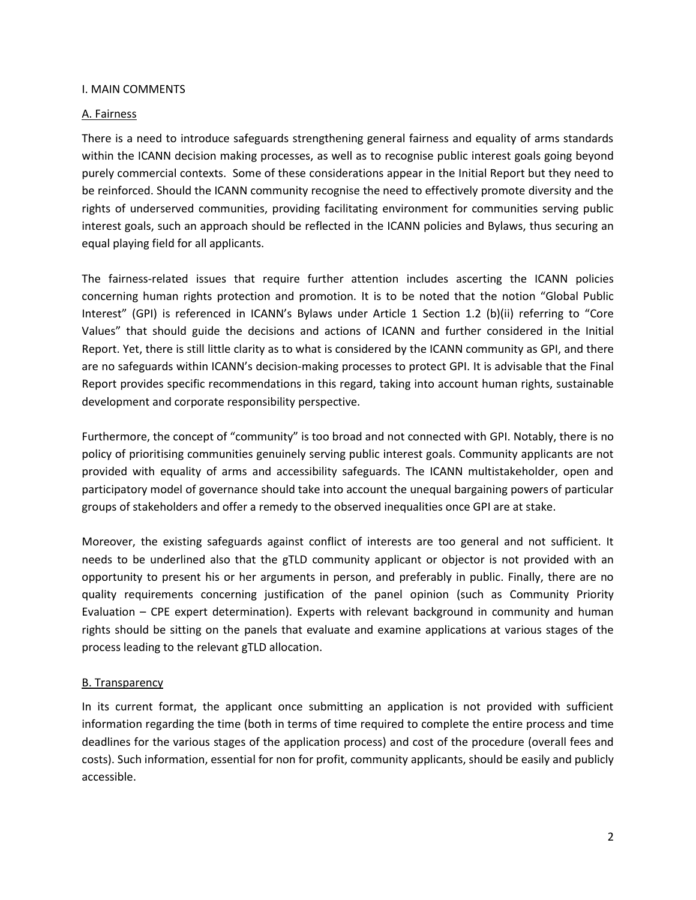#### I. MAIN COMMENTS

#### A. Fairness

There is a need to introduce safeguards strengthening general fairness and equality of arms standards within the ICANN decision making processes, as well as to recognise public interest goals going beyond purely commercial contexts. Some of these considerations appear in the Initial Report but they need to be reinforced. Should the ICANN community recognise the need to effectively promote diversity and the rights of underserved communities, providing facilitating environment for communities serving public interest goals, such an approach should be reflected in the ICANN policies and Bylaws, thus securing an equal playing field for all applicants.

The fairness-related issues that require further attention includes ascerting the ICANN policies concerning human rights protection and promotion. It is to be noted that the notion "Global Public Interest" (GPI) is referenced in ICANN's Bylaws under Article 1 Section 1.2 (b)(ii) referring to "Core Values" that should guide the decisions and actions of ICANN and further considered in the Initial Report. Yet, there is still little clarity as to what is considered by the ICANN community as GPI, and there are no safeguards within ICANN's decision-making processes to protect GPI. It is advisable that the Final Report provides specific recommendations in this regard, taking into account human rights, sustainable development and corporate responsibility perspective.

Furthermore, the concept of "community" is too broad and not connected with GPI. Notably, there is no policy of prioritising communities genuinely serving public interest goals. Community applicants are not provided with equality of arms and accessibility safeguards. The ICANN multistakeholder, open and participatory model of governance should take into account the unequal bargaining powers of particular groups of stakeholders and offer a remedy to the observed inequalities once GPI are at stake.

Moreover, the existing safeguards against conflict of interests are too general and not sufficient. It needs to be underlined also that the gTLD community applicant or objector is not provided with an opportunity to present his or her arguments in person, and preferably in public. Finally, there are no quality requirements concerning justification of the panel opinion (such as Community Priority Evaluation – CPE expert determination). Experts with relevant background in community and human rights should be sitting on the panels that evaluate and examine applications at various stages of the process leading to the relevant gTLD allocation.

### B. Transparency

In its current format, the applicant once submitting an application is not provided with sufficient information regarding the time (both in terms of time required to complete the entire process and time deadlines for the various stages of the application process) and cost of the procedure (overall fees and costs). Such information, essential for non for profit, community applicants, should be easily and publicly accessible.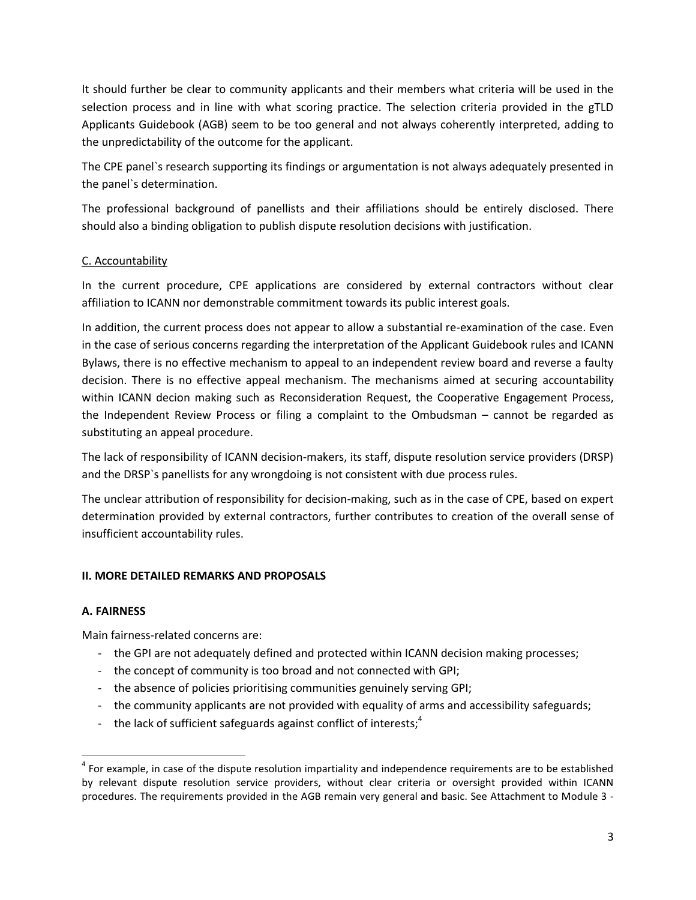It should further be clear to community applicants and their members what criteria will be used in the selection process and in line with what scoring practice. The selection criteria provided in the gTLD Applicants Guidebook (AGB) seem to be too general and not always coherently interpreted, adding to the unpredictability of the outcome for the applicant.

The CPE panel`s research supporting its findings or argumentation is not always adequately presented in the panel`s determination.

The professional background of panellists and their affiliations should be entirely disclosed. There should also a binding obligation to publish dispute resolution decisions with justification.

# C. Accountability

In the current procedure, CPE applications are considered by external contractors without clear affiliation to ICANN nor demonstrable commitment towards its public interest goals.

In addition, the current process does not appear to allow a substantial re-examination of the case. Even in the case of serious concerns regarding the interpretation of the Applicant Guidebook rules and ICANN Bylaws, there is no effective mechanism to appeal to an independent review board and reverse a faulty decision. There is no effective appeal mechanism. The mechanisms aimed at securing accountability within ICANN decion making such as Reconsideration Request, the Cooperative Engagement Process, the Independent Review Process or filing a complaint to the Ombudsman – cannot be regarded as substituting an appeal procedure.

The lack of responsibility of ICANN decision-makers, its staff, dispute resolution service providers (DRSP) and the DRSP`s panellists for any wrongdoing is not consistent with due process rules.

The unclear attribution of responsibility for decision-making, such as in the case of CPE, based on expert determination provided by external contractors, further contributes to creation of the overall sense of insufficient accountability rules.

## **II. MORE DETAILED REMARKS AND PROPOSALS**

## **A. FAIRNESS**

Main fairness-related concerns are:

- the GPI are not adequately defined and protected within ICANN decision making processes;
- the concept of community is too broad and not connected with GPI;
- the absence of policies prioritising communities genuinely serving GPI;
- the community applicants are not provided with equality of arms and accessibility safeguards;
- the lack of sufficient safeguards against conflict of interests;<sup>4</sup>

 $\overline{\phantom{a}}$  $4$  For example, in case of the dispute resolution impartiality and independence requirements are to be established by relevant dispute resolution service providers, without clear criteria or oversight provided within ICANN procedures. The requirements provided in the AGB remain very general and basic. See Attachment to Module 3 -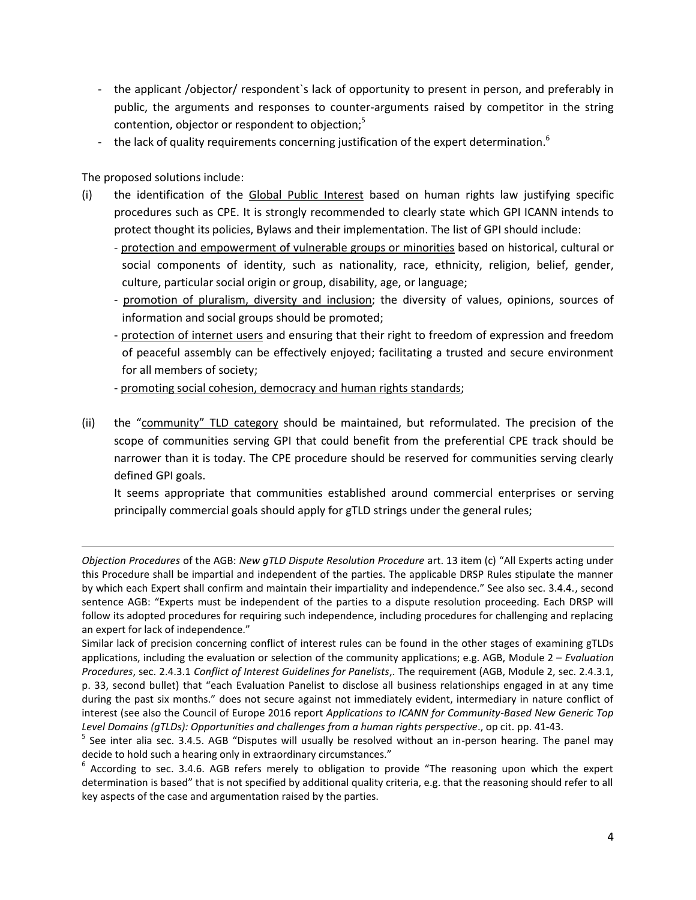- the applicant /objector/ respondent`s lack of opportunity to present in person, and preferably in public, the arguments and responses to counter-arguments raised by competitor in the string contention, objector or respondent to objection; 5
- the lack of quality requirements concerning justification of the expert determination.<sup>6</sup>

The proposed solutions include:

 $\overline{\phantom{a}}$ 

- (i) the identification of the Global Public Interest based on human rights law justifying specific procedures such as CPE. It is strongly recommended to clearly state which GPI ICANN intends to protect thought its policies, Bylaws and their implementation. The list of GPI should include:
	- protection and empowerment of vulnerable groups or minorities based on historical, cultural or social components of identity, such as nationality, race, ethnicity, religion, belief, gender, culture, particular social origin or group, disability, age, or language;
	- promotion of pluralism, diversity and inclusion; the diversity of values, opinions, sources of information and social groups should be promoted;
	- protection of internet users and ensuring that their right to freedom of expression and freedom of peaceful assembly can be effectively enjoyed; facilitating a trusted and secure environment for all members of society;
	- promoting social cohesion, democracy and human rights standards;
- (ii) the "community" TLD category should be maintained, but reformulated. The precision of the scope of communities serving GPI that could benefit from the preferential CPE track should be narrower than it is today. The CPE procedure should be reserved for communities serving clearly defined GPI goals.

It seems appropriate that communities established around commercial enterprises or serving principally commercial goals should apply for gTLD strings under the general rules;

*Objection Procedures* of the AGB: *New gTLD Dispute Resolution Procedure* art. 13 item (c) "All Experts acting under this Procedure shall be impartial and independent of the parties. The applicable DRSP Rules stipulate the manner by which each Expert shall confirm and maintain their impartiality and independence." See also sec. 3.4.4., second sentence AGB: "Experts must be independent of the parties to a dispute resolution proceeding. Each DRSP will follow its adopted procedures for requiring such independence, including procedures for challenging and replacing an expert for lack of independence."

Similar lack of precision concerning conflict of interest rules can be found in the other stages of examining gTLDs applications, including the evaluation or selection of the community applications; e.g. AGB, Module 2 – *Evaluation Procedures*, sec. 2.4.3.1 *Conflict of Interest Guidelines for Panelists*,. The requirement (AGB, Module 2, sec. 2.4.3.1, p. 33, second bullet) that "each Evaluation Panelist to disclose all business relationships engaged in at any time during the past six months." does not secure against not immediately evident, intermediary in nature conflict of interest (see also the Council of Europe 2016 report *Applications to ICANN for Community-Based New Generic Top Level Domains (gTLDs): Opportunities and challenges from a human rights perspective*., op cit. pp. 41-43.

<sup>&</sup>lt;sup>5</sup> See inter alia sec. 3.4.5. AGB "Disputes will usually be resolved without an in-person hearing. The panel may decide to hold such a hearing only in extraordinary circumstances."

<sup>&</sup>lt;sup>6</sup> According to sec. 3.4.6. AGB refers merely to obligation to provide "The reasoning upon which the expert determination is based" that is not specified by additional quality criteria, e.g. that the reasoning should refer to all key aspects of the case and argumentation raised by the parties.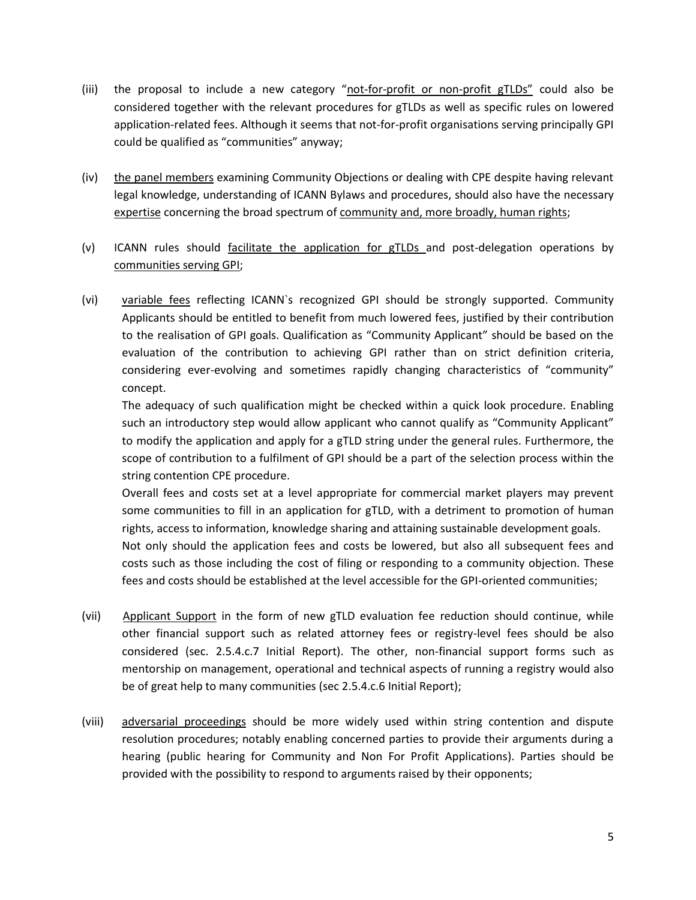- (iii) the proposal to include a new category "not-for-profit or non-profit gTLDs" could also be considered together with the relevant procedures for gTLDs as well as specific rules on lowered application-related fees. Although it seems that not-for-profit organisations serving principally GPI could be qualified as "communities" anyway;
- (iv) the panel members examining Community Objections or dealing with CPE despite having relevant legal knowledge, understanding of ICANN Bylaws and procedures, should also have the necessary expertise concerning the broad spectrum of community and, more broadly, human rights;
- (v) ICANN rules should facilitate the application for gTLDs and post-delegation operations by communities serving GPI;
- (vi) variable fees reflecting ICANN's recognized GPI should be strongly supported. Community Applicants should be entitled to benefit from much lowered fees, justified by their contribution to the realisation of GPI goals. Qualification as "Community Applicant" should be based on the evaluation of the contribution to achieving GPI rather than on strict definition criteria, considering ever-evolving and sometimes rapidly changing characteristics of "community" concept.

The adequacy of such qualification might be checked within a quick look procedure. Enabling such an introductory step would allow applicant who cannot qualify as "Community Applicant" to modify the application and apply for a gTLD string under the general rules. Furthermore, the scope of contribution to a fulfilment of GPI should be a part of the selection process within the string contention CPE procedure.

Overall fees and costs set at a level appropriate for commercial market players may prevent some communities to fill in an application for gTLD, with a detriment to promotion of human rights, access to information, knowledge sharing and attaining sustainable development goals.

Not only should the application fees and costs be lowered, but also all subsequent fees and costs such as those including the cost of filing or responding to a community objection. These fees and costs should be established at the level accessible for the GPI-oriented communities;

- (vii) Applicant Support in the form of new gTLD evaluation fee reduction should continue, while other financial support such as related attorney fees or registry-level fees should be also considered (sec. 2.5.4.c.7 Initial Report). The other, non-financial support forms such as mentorship on management, operational and technical aspects of running a registry would also be of great help to many communities (sec 2.5.4.c.6 Initial Report);
- (viii) adversarial proceedings should be more widely used within string contention and dispute resolution procedures; notably enabling concerned parties to provide their arguments during a hearing (public hearing for Community and Non For Profit Applications). Parties should be provided with the possibility to respond to arguments raised by their opponents;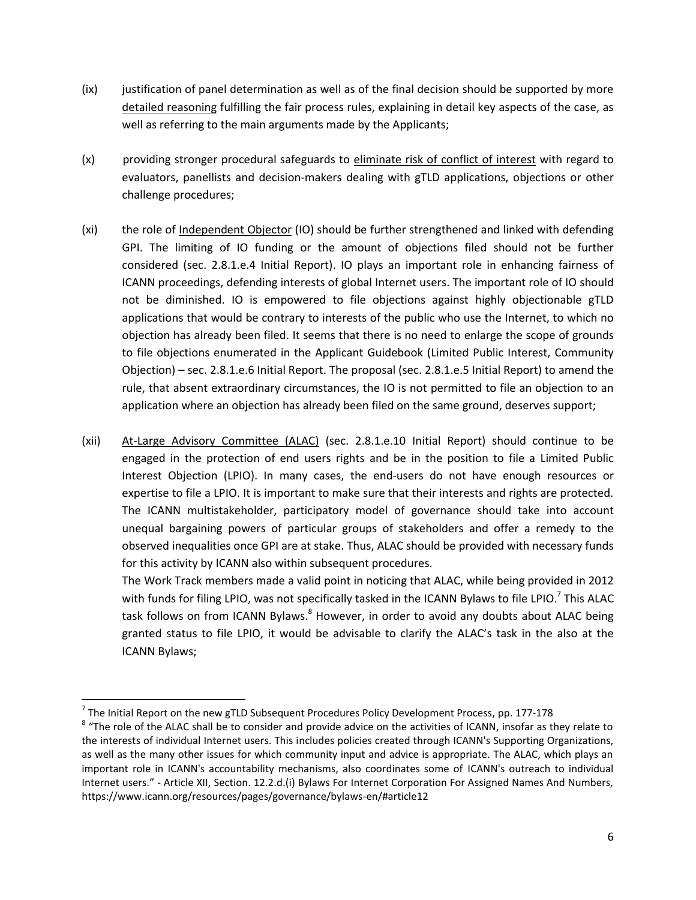- (ix) justification of panel determination as well as of the final decision should be supported by more detailed reasoning fulfilling the fair process rules, explaining in detail key aspects of the case, as well as referring to the main arguments made by the Applicants;
- (x) providing stronger procedural safeguards to eliminate risk of conflict of interest with regard to evaluators, panellists and decision-makers dealing with gTLD applications, objections or other challenge procedures;
- (xi) the role of Independent Objector (IO) should be further strengthened and linked with defending GPI. The limiting of IO funding or the amount of objections filed should not be further considered (sec. 2.8.1.e.4 Initial Report). IO plays an important role in enhancing fairness of ICANN proceedings, defending interests of global Internet users. The important role of IO should not be diminished. IO is empowered to file objections against highly objectionable gTLD applications that would be contrary to interests of the public who use the Internet, to which no objection has already been filed. It seems that there is no need to enlarge the scope of grounds to file objections enumerated in the Applicant Guidebook (Limited Public Interest, Community Objection) – sec. 2.8.1.e.6 Initial Report. The proposal (sec. 2.8.1.e.5 Initial Report) to amend the rule, that absent extraordinary circumstances, the IO is not permitted to file an objection to an application where an objection has already been filed on the same ground, deserves support;

(xii) At-Large Advisory Committee (ALAC) (sec. 2.8.1.e.10 Initial Report) should continue to be engaged in the protection of end users rights and be in the position to file a Limited Public Interest Objection (LPIO). In many cases, the end-users do not have enough resources or expertise to file a LPIO. It is important to make sure that their interests and rights are protected. The ICANN multistakeholder, participatory model of governance should take into account unequal bargaining powers of particular groups of stakeholders and offer a remedy to the observed inequalities once GPI are at stake. Thus, ALAC should be provided with necessary funds for this activity by ICANN also within subsequent procedures.

The Work Track members made a valid point in noticing that ALAC, while being provided in 2012 with funds for filing LPIO, was not specifically tasked in the ICANN Bylaws to file LPIO.<sup>7</sup> This ALAC task follows on from ICANN Bylaws.<sup>8</sup> However, in order to avoid any doubts about ALAC being granted status to file LPIO, it would be advisable to clarify the ALAC's task in the also at the ICANN Bylaws;

 $^7$  The Initial Report on the new gTLD Subsequent Procedures Policy Development Process, pp. 177-178

 $^8$  "The role of the ALAC shall be to consider and provide advice on the activities of ICANN, insofar as they relate to the interests of individual Internet users. This includes policies created through ICANN's Supporting Organizations, as well as the many other issues for which community input and advice is appropriate. The ALAC, which plays an important role in ICANN's accountability mechanisms, also coordinates some of ICANN's outreach to individual Internet users." - Article XII, Section. 12.2.d.(i) Bylaws For Internet Corporation For Assigned Names And Numbers, https://www.icann.org/resources/pages/governance/bylaws-en/#article12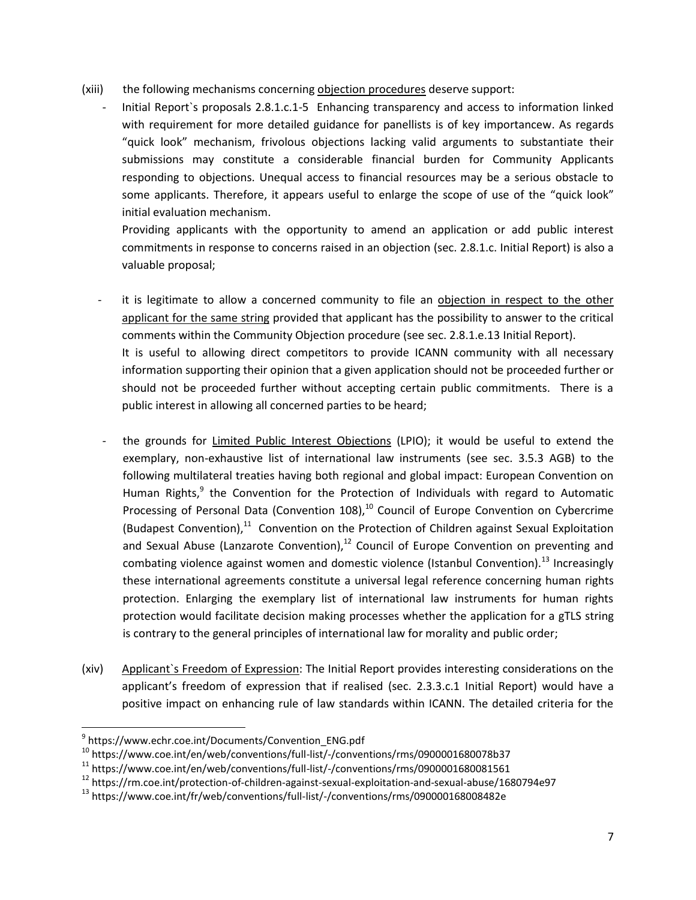- (xiii) the following mechanisms concerning objection procedures deserve support:
	- Initial Report`s proposals 2.8.1.c.1-5 Enhancing transparency and access to information linked with requirement for more detailed guidance for panellists is of key importancew. As regards "quick look" mechanism, frivolous objections lacking valid arguments to substantiate their submissions may constitute a considerable financial burden for Community Applicants responding to objections. Unequal access to financial resources may be a serious obstacle to some applicants. Therefore, it appears useful to enlarge the scope of use of the "quick look" initial evaluation mechanism.

Providing applicants with the opportunity to amend an application or add public interest commitments in response to concerns raised in an objection (sec. 2.8.1.c. Initial Report) is also a valuable proposal;

- it is legitimate to allow a concerned community to file an objection in respect to the other applicant for the same string provided that applicant has the possibility to answer to the critical comments within the Community Objection procedure (see sec. 2.8.1.e.13 Initial Report). It is useful to allowing direct competitors to provide ICANN community with all necessary information supporting their opinion that a given application should not be proceeded further or should not be proceeded further without accepting certain public commitments. There is a public interest in allowing all concerned parties to be heard;
- the grounds for Limited Public Interest Objections (LPIO); it would be useful to extend the exemplary, non-exhaustive list of international law instruments (see sec. 3.5.3 AGB) to the following multilateral treaties having both regional and global impact: European Convention on Human Rights,<sup>9</sup> the Convention for the Protection of Individuals with regard to Automatic Processing of Personal Data (Convention 108),<sup>10</sup> Council of Europe Convention on Cybercrime (Budapest Convention), $^{11}$  Convention on the Protection of Children against Sexual Exploitation and Sexual Abuse (Lanzarote Convention), $12$  Council of Europe Convention on preventing and combating violence against women and domestic violence (Istanbul Convention).<sup>13</sup> Increasingly these international agreements constitute a universal legal reference concerning human rights protection. Enlarging the exemplary list of international law instruments for human rights protection would facilitate decision making processes whether the application for a gTLS string is contrary to the general principles of international law for morality and public order;
- (xiv) Applicant`s Freedom of Expression: The Initial Report provides interesting considerations on the applicant's freedom of expression that if realised (sec. 2.3.3.c.1 Initial Report) would have a positive impact on enhancing rule of law standards within ICANN. The detailed criteria for the

<sup>&</sup>lt;sup>9</sup> https://www.echr.coe.int/Documents/Convention\_ENG.pdf

 $10$  https://www.coe.int/en/web/conventions/full-list/-/conventions/rms/0900001680078b37

 $11$  https://www.coe.int/en/web/conventions/full-list/-/conventions/rms/0900001680081561

<sup>12</sup> https://rm.coe.int/protection-of-children-against-sexual-exploitation-and-sexual-abuse/1680794e97

<sup>&</sup>lt;sup>13</sup> https://www.coe.int/fr/web/conventions/full-list/-/conventions/rms/090000168008482e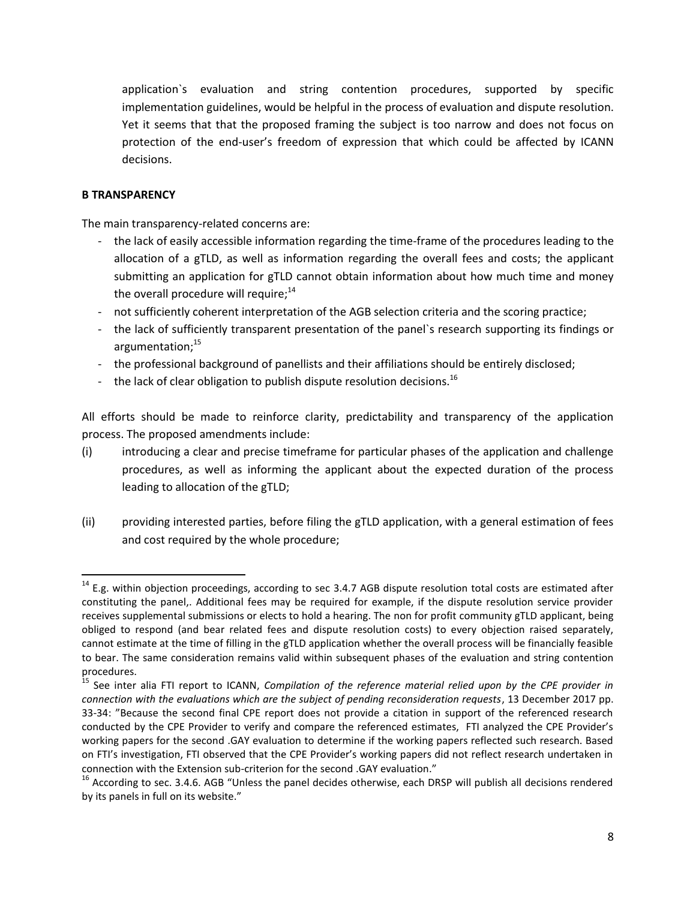application`s evaluation and string contention procedures, supported by specific implementation guidelines, would be helpful in the process of evaluation and dispute resolution. Yet it seems that that the proposed framing the subject is too narrow and does not focus on protection of the end-user's freedom of expression that which could be affected by ICANN decisions.

### **B TRANSPARENCY**

 $\overline{\phantom{a}}$ 

The main transparency-related concerns are:

- the lack of easily accessible information regarding the time-frame of the procedures leading to the allocation of a gTLD, as well as information regarding the overall fees and costs; the applicant submitting an application for gTLD cannot obtain information about how much time and money the overall procedure will require;<sup>14</sup>
- not sufficiently coherent interpretation of the AGB selection criteria and the scoring practice;
- the lack of sufficiently transparent presentation of the panel`s research supporting its findings or argumentation; 15
- the professional background of panellists and their affiliations should be entirely disclosed;
- the lack of clear obligation to publish dispute resolution decisions.<sup>16</sup>

All efforts should be made to reinforce clarity, predictability and transparency of the application process. The proposed amendments include:

- (i) introducing a clear and precise timeframe for particular phases of the application and challenge procedures, as well as informing the applicant about the expected duration of the process leading to allocation of the gTLD;
- (ii) providing interested parties, before filing the gTLD application, with a general estimation of fees and cost required by the whole procedure;

 $14$  E.g. within objection proceedings, according to sec 3.4.7 AGB dispute resolution total costs are estimated after constituting the panel,. Additional fees may be required for example, if the dispute resolution service provider receives supplemental submissions or elects to hold a hearing. The non for profit community gTLD applicant, being obliged to respond (and bear related fees and dispute resolution costs) to every objection raised separately, cannot estimate at the time of filling in the gTLD application whether the overall process will be financially feasible to bear. The same consideration remains valid within subsequent phases of the evaluation and string contention procedures.

<sup>15</sup> See inter alia FTI report to ICANN, *Compilation of the reference material relied upon by the CPE provider in connection with the evaluations which are the subject of pending reconsideration requests*, 13 December 2017 pp. 33-34: "Because the second final CPE report does not provide a citation in support of the referenced research conducted by the CPE Provider to verify and compare the referenced estimates, FTI analyzed the CPE Provider's working papers for the second .GAY evaluation to determine if the working papers reflected such research. Based on FTI's investigation, FTI observed that the CPE Provider's working papers did not reflect research undertaken in connection with the Extension sub-criterion for the second .GAY evaluation."

 $^{16}$  According to sec. 3.4.6. AGB "Unless the panel decides otherwise, each DRSP will publish all decisions rendered by its panels in full on its website."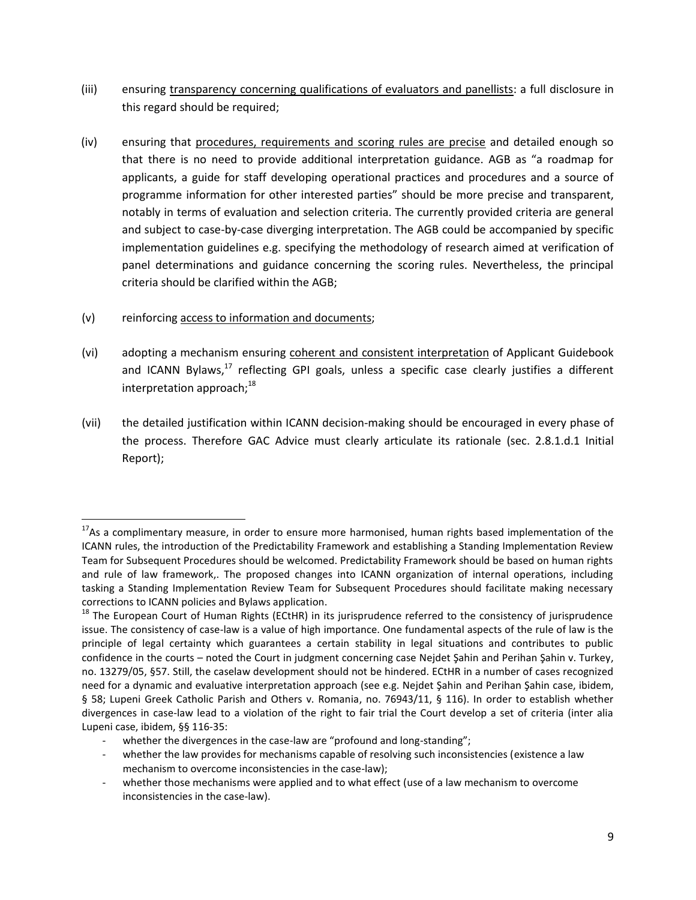- (iii) ensuring transparency concerning qualifications of evaluators and panellists: a full disclosure in this regard should be required;
- (iv) ensuring that procedures, requirements and scoring rules are precise and detailed enough so that there is no need to provide additional interpretation guidance. AGB as "a roadmap for applicants, a guide for staff developing operational practices and procedures and a source of programme information for other interested parties" should be more precise and transparent, notably in terms of evaluation and selection criteria. The currently provided criteria are general and subject to case-by-case diverging interpretation. The AGB could be accompanied by specific implementation guidelines e.g. specifying the methodology of research aimed at verification of panel determinations and guidance concerning the scoring rules. Nevertheless, the principal criteria should be clarified within the AGB;
- (v) reinforcing access to information and documents;

- (vi) adopting a mechanism ensuring coherent and consistent interpretation of Applicant Guidebook and ICANN Bylaws,<sup>17</sup> reflecting GPI goals, unless a specific case clearly justifies a different interpretation approach; $^{18}$
- (vii) the detailed justification within ICANN decision-making should be encouraged in every phase of the process. Therefore GAC Advice must clearly articulate its rationale (sec. 2.8.1.d.1 Initial Report);

 $17$ As a complimentary measure, in order to ensure more harmonised, human rights based implementation of the ICANN rules, the introduction of the Predictability Framework and establishing a Standing Implementation Review Team for Subsequent Procedures should be welcomed. Predictability Framework should be based on human rights and rule of law framework,. The proposed changes into ICANN organization of internal operations, including tasking a Standing Implementation Review Team for Subsequent Procedures should facilitate making necessary corrections to ICANN policies and Bylaws application.

 $18$  The European Court of Human Rights (ECtHR) in its jurisprudence referred to the consistency of jurisprudence issue. The consistency of case-law is a value of high importance. One fundamental aspects of the rule of law is the principle of legal certainty which guarantees a certain stability in legal situations and contributes to public confidence in the courts – noted the Court in judgment concerning case Nejdet Şahin and Perihan Şahin v. Turkey, no. 13279/05, §57. Still, the caselaw development should not be hindered. ECtHR in a number of cases recognized need for a dynamic and evaluative interpretation approach (see e.g. Nejdet Şahin and Perihan Şahin case, ibidem, § 58; Lupeni Greek Catholic Parish and Others v. Romania, no. 76943/11, § 116). In order to establish whether divergences in case-law lead to a violation of the right to fair trial the Court develop a set of criteria (inter alia Lupeni case, ibidem, §§ 116-35:

whether the divergences in the case-law are "profound and long-standing";

whether the law provides for mechanisms capable of resolving such inconsistencies (existence a law mechanism to overcome inconsistencies in the case-law);

whether those mechanisms were applied and to what effect (use of a law mechanism to overcome inconsistencies in the case-law).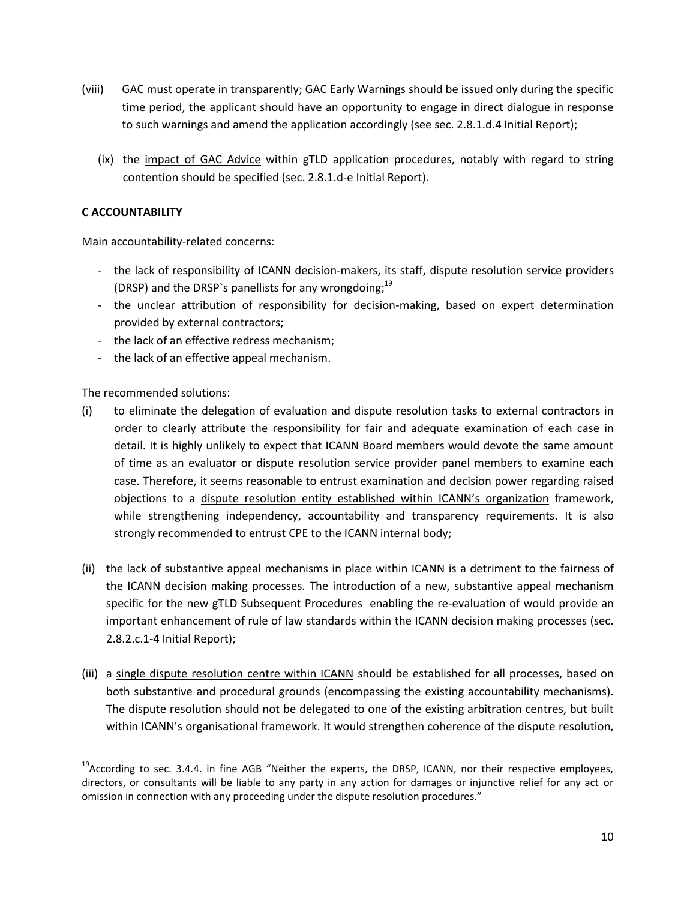- (viii) GAC must operate in transparently; GAC Early Warnings should be issued only during the specific time period, the applicant should have an opportunity to engage in direct dialogue in response to such warnings and amend the application accordingly (see sec. 2.8.1.d.4 Initial Report);
	- (ix) the impact of GAC Advice within gTLD application procedures, notably with regard to string contention should be specified (sec. 2.8.1.d-e Initial Report).

## **C ACCOUNTABILITY**

Main accountability-related concerns:

- the lack of responsibility of ICANN decision-makers, its staff, dispute resolution service providers (DRSP) and the DRSP`s panellists for any wrongdoing;<sup>19</sup>
- the unclear attribution of responsibility for decision-making, based on expert determination provided by external contractors;
- the lack of an effective redress mechanism;
- the lack of an effective appeal mechanism.

The recommended solutions:

- (i) to eliminate the delegation of evaluation and dispute resolution tasks to external contractors in order to clearly attribute the responsibility for fair and adequate examination of each case in detail. It is highly unlikely to expect that ICANN Board members would devote the same amount of time as an evaluator or dispute resolution service provider panel members to examine each case. Therefore, it seems reasonable to entrust examination and decision power regarding raised objections to a dispute resolution entity established within ICANN's organization framework, while strengthening independency, accountability and transparency requirements. It is also strongly recommended to entrust CPE to the ICANN internal body;
- (ii) the lack of substantive appeal mechanisms in place within ICANN is a detriment to the fairness of the ICANN decision making processes. The introduction of a new, substantive appeal mechanism specific for the new gTLD Subsequent Procedures enabling the re-evaluation of would provide an important enhancement of rule of law standards within the ICANN decision making processes (sec. 2.8.2.c.1-4 Initial Report);
- (iii) a single dispute resolution centre within ICANN should be established for all processes, based on both substantive and procedural grounds (encompassing the existing accountability mechanisms). The dispute resolution should not be delegated to one of the existing arbitration centres, but built within ICANN's organisational framework. It would strengthen coherence of the dispute resolution,

<sup>&</sup>lt;sup>19</sup>According to sec. 3.4.4. in fine AGB "Neither the experts, the DRSP, ICANN, nor their respective employees, directors, or consultants will be liable to any party in any action for damages or injunctive relief for any act or omission in connection with any proceeding under the dispute resolution procedures."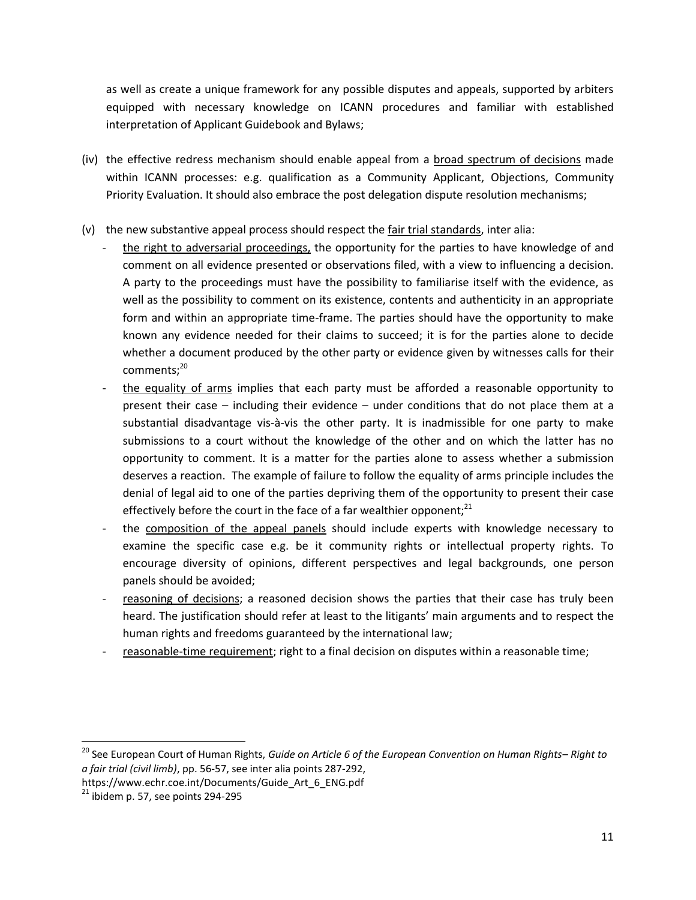as well as create a unique framework for any possible disputes and appeals, supported by arbiters equipped with necessary knowledge on ICANN procedures and familiar with established interpretation of Applicant Guidebook and Bylaws;

- (iv) the effective redress mechanism should enable appeal from a broad spectrum of decisions made within ICANN processes: e.g. qualification as a Community Applicant, Objections, Community Priority Evaluation. It should also embrace the post delegation dispute resolution mechanisms;
- (v) the new substantive appeal process should respect the fair trial standards, inter alia:
	- the right to adversarial proceedings, the opportunity for the parties to have knowledge of and comment on all evidence presented or observations filed, with a view to influencing a decision. A party to the proceedings must have the possibility to familiarise itself with the evidence, as well as the possibility to comment on its existence, contents and authenticity in an appropriate form and within an appropriate time-frame. The parties should have the opportunity to make known any evidence needed for their claims to succeed; it is for the parties alone to decide whether a document produced by the other party or evidence given by witnesses calls for their comments; 20
	- the equality of arms implies that each party must be afforded a reasonable opportunity to present their case – including their evidence – under conditions that do not place them at a substantial disadvantage vis-à-vis the other party. It is inadmissible for one party to make submissions to a court without the knowledge of the other and on which the latter has no opportunity to comment. It is a matter for the parties alone to assess whether a submission deserves a reaction. The example of failure to follow the equality of arms principle includes the denial of legal aid to one of the parties depriving them of the opportunity to present their case effectively before the court in the face of a far wealthier opponent;<sup>21</sup>
	- the composition of the appeal panels should include experts with knowledge necessary to examine the specific case e.g. be it community rights or intellectual property rights. To encourage diversity of opinions, different perspectives and legal backgrounds, one person panels should be avoided;
	- reasoning of decisions; a reasoned decision shows the parties that their case has truly been heard. The justification should refer at least to the litigants' main arguments and to respect the human rights and freedoms guaranteed by the international law;
	- reasonable-time requirement; right to a final decision on disputes within a reasonable time;

 $\overline{a}$ 

<sup>20</sup> See European Court of Human Rights, *Guide on Article 6 of the European Convention on Human Rights– Right to a fair trial (civil limb)*, pp. 56-57, see inter alia points 287-292,

https://www.echr.coe.int/Documents/Guide\_Art\_6\_ENG.pdf

 $21$  ibidem p. 57, see points 294-295